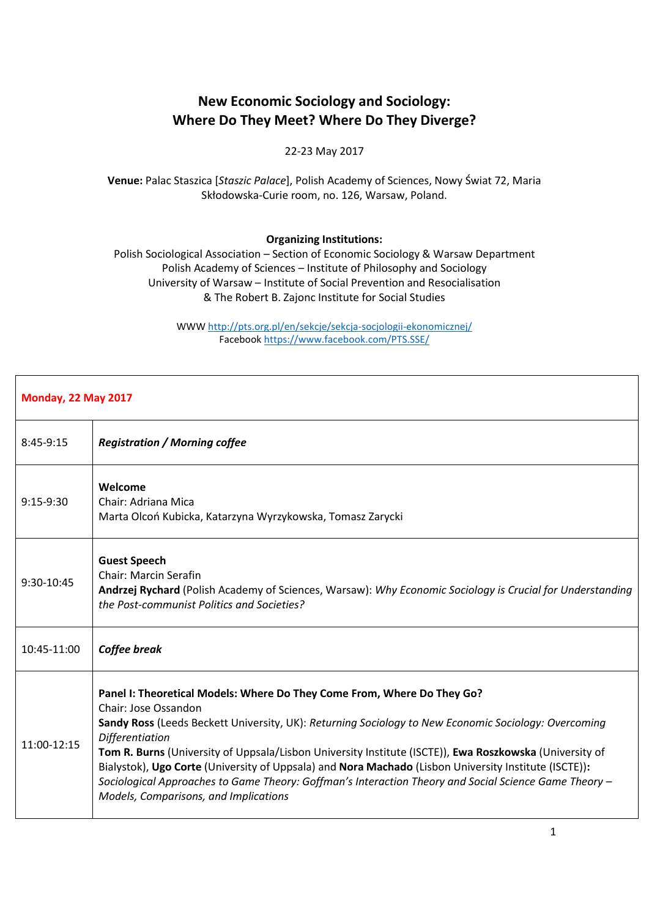## **New Economic Sociology and Sociology: Where Do They Meet? Where Do They Diverge?**

## 22-23 May 2017

**Venue:** Palac Staszica [*Staszic Palace*], Polish Academy of Sciences, Nowy Świat 72, Maria Skłodowska-Curie room, no. 126, Warsaw, Poland.

## **Organizing Institutions:**

Polish Sociological Association – Section of Economic Sociology & Warsaw Department Polish Academy of Sciences – Institute of Philosophy and Sociology University of Warsaw – Institute of Social Prevention and Resocialisation & The Robert B. Zajonc Institute for Social Studies

> WWW<http://pts.org.pl/en/sekcje/sekcja-socjologii-ekonomicznej/> Facebook<https://www.facebook.com/PTS.SSE/>

| <b>Monday, 22 May 2017</b> |                                                                                                                                                                                                                                                                                                                                                                                                                                                                                                                                                                                                         |  |
|----------------------------|---------------------------------------------------------------------------------------------------------------------------------------------------------------------------------------------------------------------------------------------------------------------------------------------------------------------------------------------------------------------------------------------------------------------------------------------------------------------------------------------------------------------------------------------------------------------------------------------------------|--|
| $8:45-9:15$                | <b>Registration / Morning coffee</b>                                                                                                                                                                                                                                                                                                                                                                                                                                                                                                                                                                    |  |
| 9:15-9:30                  | Welcome<br>Chair: Adriana Mica<br>Marta Olcoń Kubicka, Katarzyna Wyrzykowska, Tomasz Zarycki                                                                                                                                                                                                                                                                                                                                                                                                                                                                                                            |  |
| 9:30-10:45                 | <b>Guest Speech</b><br><b>Chair: Marcin Serafin</b><br>Andrzej Rychard (Polish Academy of Sciences, Warsaw): Why Economic Sociology is Crucial for Understanding<br>the Post-communist Politics and Societies?                                                                                                                                                                                                                                                                                                                                                                                          |  |
| 10:45-11:00                | Coffee break                                                                                                                                                                                                                                                                                                                                                                                                                                                                                                                                                                                            |  |
| 11:00-12:15                | Panel I: Theoretical Models: Where Do They Come From, Where Do They Go?<br>Chair: Jose Ossandon<br>Sandy Ross (Leeds Beckett University, UK): Returning Sociology to New Economic Sociology: Overcoming<br><b>Differentiation</b><br>Tom R. Burns (University of Uppsala/Lisbon University Institute (ISCTE)), Ewa Roszkowska (University of<br>Bialystok), Ugo Corte (University of Uppsala) and Nora Machado (Lisbon University Institute (ISCTE)):<br>Sociological Approaches to Game Theory: Goffman's Interaction Theory and Social Science Game Theory -<br>Models, Comparisons, and Implications |  |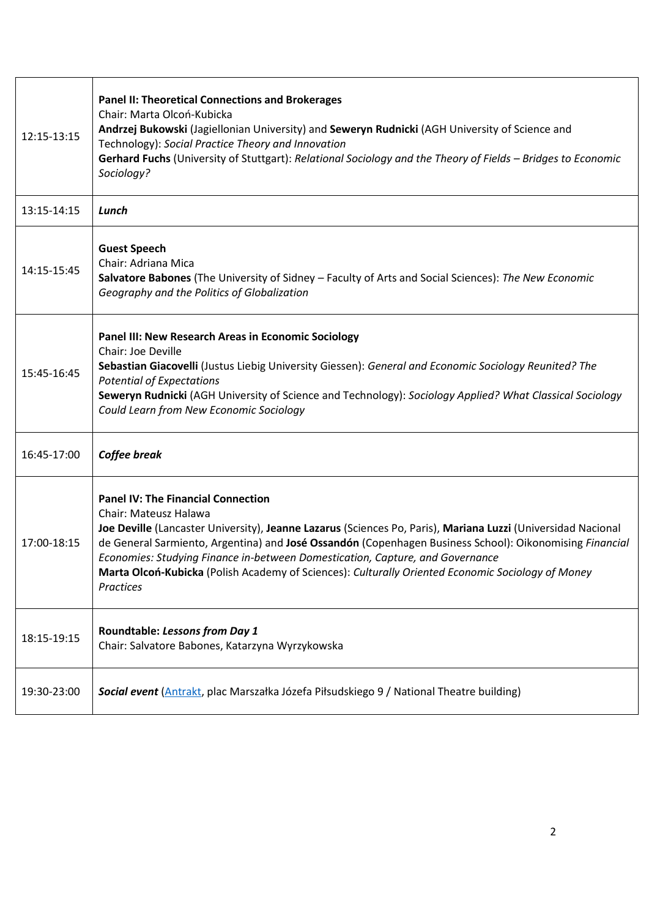| 12:15-13:15 | <b>Panel II: Theoretical Connections and Brokerages</b><br>Chair: Marta Olcoń-Kubicka<br>Andrzej Bukowski (Jagiellonian University) and Seweryn Rudnicki (AGH University of Science and<br>Technology): Social Practice Theory and Innovation<br>Gerhard Fuchs (University of Stuttgart): Relational Sociology and the Theory of Fields - Bridges to Economic<br>Sociology?                                                                                                                      |
|-------------|--------------------------------------------------------------------------------------------------------------------------------------------------------------------------------------------------------------------------------------------------------------------------------------------------------------------------------------------------------------------------------------------------------------------------------------------------------------------------------------------------|
| 13:15-14:15 | Lunch                                                                                                                                                                                                                                                                                                                                                                                                                                                                                            |
| 14:15-15:45 | <b>Guest Speech</b><br>Chair: Adriana Mica<br>Salvatore Babones (The University of Sidney - Faculty of Arts and Social Sciences): The New Economic<br>Geography and the Politics of Globalization                                                                                                                                                                                                                                                                                                |
| 15:45-16:45 | Panel III: New Research Areas in Economic Sociology<br>Chair: Joe Deville<br>Sebastian Giacovelli (Justus Liebig University Giessen): General and Economic Sociology Reunited? The<br><b>Potential of Expectations</b><br>Seweryn Rudnicki (AGH University of Science and Technology): Sociology Applied? What Classical Sociology<br>Could Learn from New Economic Sociology                                                                                                                    |
| 16:45-17:00 | Coffee break                                                                                                                                                                                                                                                                                                                                                                                                                                                                                     |
| 17:00-18:15 | <b>Panel IV: The Financial Connection</b><br>Chair: Mateusz Halawa<br>Joe Deville (Lancaster University), Jeanne Lazarus (Sciences Po, Paris), Mariana Luzzi (Universidad Nacional<br>de General Sarmiento, Argentina) and José Ossandón (Copenhagen Business School): Oikonomising Financial<br>Economies: Studying Finance in-between Domestication, Capture, and Governance<br>Marta Olcoń-Kubicka (Polish Academy of Sciences): Culturally Oriented Economic Sociology of Money<br>Practices |
| 18:15-19:15 | Roundtable: Lessons from Day 1<br>Chair: Salvatore Babones, Katarzyna Wyrzykowska                                                                                                                                                                                                                                                                                                                                                                                                                |
| 19:30-23:00 | Social event (Antrakt, plac Marszałka Józefa Piłsudskiego 9 / National Theatre building)                                                                                                                                                                                                                                                                                                                                                                                                         |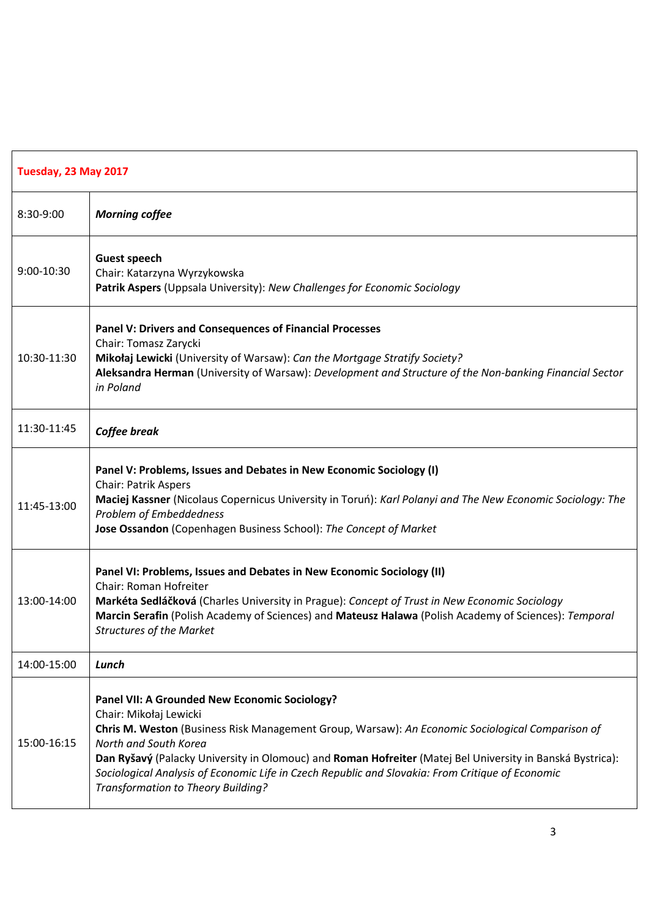| Tuesday, 23 May 2017 |                                                                                                                                                                                                                                                                                                                                                                                                                                                             |  |
|----------------------|-------------------------------------------------------------------------------------------------------------------------------------------------------------------------------------------------------------------------------------------------------------------------------------------------------------------------------------------------------------------------------------------------------------------------------------------------------------|--|
| 8:30-9:00            | <b>Morning coffee</b>                                                                                                                                                                                                                                                                                                                                                                                                                                       |  |
| 9:00-10:30           | <b>Guest speech</b><br>Chair: Katarzyna Wyrzykowska<br>Patrik Aspers (Uppsala University): New Challenges for Economic Sociology                                                                                                                                                                                                                                                                                                                            |  |
| 10:30-11:30          | Panel V: Drivers and Consequences of Financial Processes<br>Chair: Tomasz Zarycki<br>Mikołaj Lewicki (University of Warsaw): Can the Mortgage Stratify Society?<br>Aleksandra Herman (University of Warsaw): Development and Structure of the Non-banking Financial Sector<br>in Poland                                                                                                                                                                     |  |
| 11:30-11:45          | Coffee break                                                                                                                                                                                                                                                                                                                                                                                                                                                |  |
| 11:45-13:00          | Panel V: Problems, Issues and Debates in New Economic Sociology (I)<br><b>Chair: Patrik Aspers</b><br>Maciej Kassner (Nicolaus Copernicus University in Toruń): Karl Polanyi and The New Economic Sociology: The<br>Problem of Embeddedness<br>Jose Ossandon (Copenhagen Business School): The Concept of Market                                                                                                                                            |  |
| 13:00-14:00          | Panel VI: Problems, Issues and Debates in New Economic Sociology (II)<br>Chair: Roman Hofreiter<br>Markéta Sedláčková (Charles University in Prague): Concept of Trust in New Economic Sociology<br>Marcin Serafin (Polish Academy of Sciences) and Mateusz Halawa (Polish Academy of Sciences): Temporal<br><b>Structures of the Market</b>                                                                                                                |  |
| 14:00-15:00          | Lunch                                                                                                                                                                                                                                                                                                                                                                                                                                                       |  |
| 15:00-16:15          | Panel VII: A Grounded New Economic Sociology?<br>Chair: Mikołaj Lewicki<br>Chris M. Weston (Business Risk Management Group, Warsaw): An Economic Sociological Comparison of<br>North and South Korea<br>Dan Ryšavý (Palacky University in Olomouc) and Roman Hofreiter (Matej Bel University in Banská Bystrica):<br>Sociological Analysis of Economic Life in Czech Republic and Slovakia: From Critique of Economic<br>Transformation to Theory Building? |  |